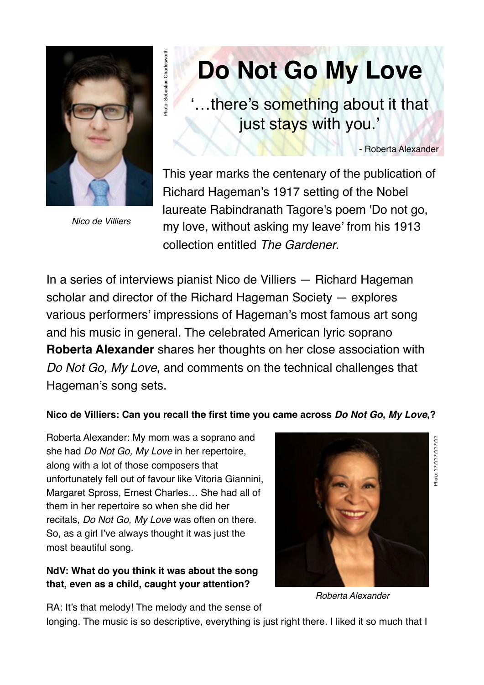

Photo: Sebastian Charlesworth

hoto: Sebastian Charleswort

*Nico de Villiers*

# **Do Not Go My Love**

'…there's something about it that just stays with you.'

- Roberta Alexander

This year marks the centenary of the publication of Richard Hageman's 1917 setting of the Nobel laureate Rabindranath Tagore's poem 'Do not go, my love, without asking my leave' from his 1913 collection entitled *The Gardener*.

In a series of interviews pianist Nico de Villiers — Richard Hageman scholar and director of the Richard Hageman Society — explores various performers' impressions of Hageman's most famous art song and his music in general. The celebrated American lyric soprano **Roberta Alexander** shares her thoughts on her close association with *Do Not Go, My Love*, and comments on the technical challenges that Hageman's song sets.

#### **Nico de Villiers: Can you recall the first time you came across** *Do Not Go, My Love***,?**

Roberta Alexander: My mom was a soprano and she had *Do Not Go, My Love* in her repertoire, along with a lot of those composers that unfortunately fell out of favour like Vitoria Giannini, Margaret Spross, Ernest Charles… She had all of them in her repertoire so when she did her recitals, *Do Not Go, My Love* was often on there. So, as a girl I've always thought it was just the most beautiful song.

#### **NdV: What do you think it was about the song that, even as a child, caught your attention?**



Photo: ????????????? Photo: ?????????????

*Roberta Alexander*

RA: It's that melody! The melody and the sense of

longing. The music is so descriptive, everything is just right there. I liked it so much that I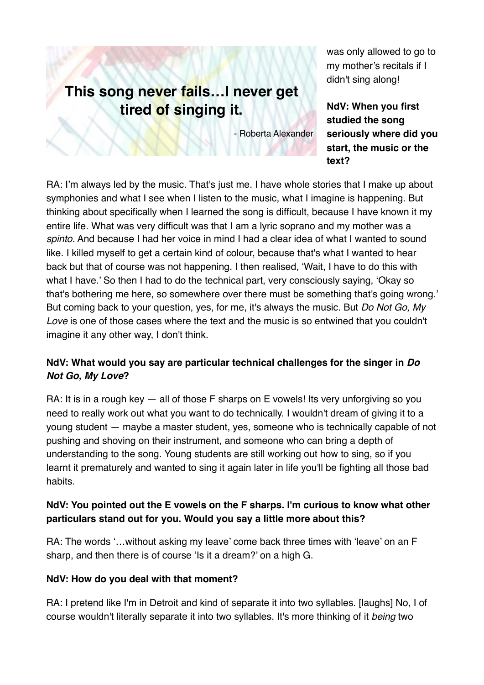### **This song never fails…I never get tired of singing it.**

- Roberta Alexander

was only allowed to go to my mother's recitals if I didn't sing along!

**NdV: When you first studied the song seriously where did you start, the music or the text?**

RA: I'm always led by the music. That's just me. I have whole stories that I make up about symphonies and what I see when I listen to the music, what I imagine is happening. But thinking about specifically when I learned the song is difficult, because I have known it my entire life. What was very difficult was that I am a lyric soprano and my mother was a *spinto*. And because I had her voice in mind I had a clear idea of what I wanted to sound like. I killed myself to get a certain kind of colour, because that's what I wanted to hear back but that of course was not happening. I then realised, 'Wait, I have to do this with what I have.' So then I had to do the technical part, very consciously saying, 'Okay so that's bothering me here, so somewhere over there must be something that's going wrong.' But coming back to your question, yes, for me, it's always the music. But *Do Not Go, My Love* is one of those cases where the text and the music is so entwined that you couldn't imagine it any other way, I don't think.

#### **NdV: What would you say are particular technical challenges for the singer in** *Do Not Go, My Love***?**

RA: It is in a rough key  $-$  all of those F sharps on E vowels! Its very unforgiving so you need to really work out what you want to do technically. I wouldn't dream of giving it to a young student — maybe a master student, yes, someone who is technically capable of not pushing and shoving on their instrument, and someone who can bring a depth of understanding to the song. Young students are still working out how to sing, so if you learnt it prematurely and wanted to sing it again later in life you'll be fighting all those bad habits.

#### **NdV: You pointed out the E vowels on the F sharps. I'm curious to know what other particulars stand out for you. Would you say a little more about this?**

RA: The words '…without asking my leave' come back three times with 'leave' on an F sharp, and then there is of course 'Is it a dream?' on a high G.

#### **NdV: How do you deal with that moment?**

RA: I pretend like I'm in Detroit and kind of separate it into two syllables. [laughs] No, I of course wouldn't literally separate it into two syllables. It's more thinking of it *being* two